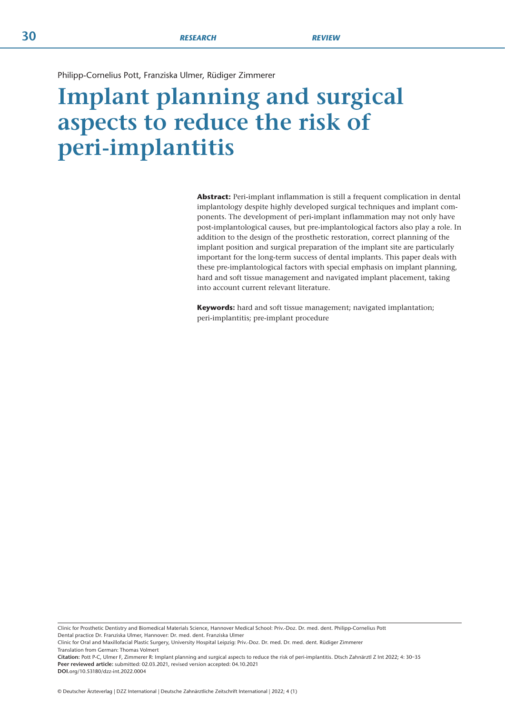Philipp-Cornelius Pott, Franziska Ulmer, Rüdiger Zimmerer

# **Implant planning and surgical aspects to reduce the risk of peri-implantitis**

**Abstract:** Peri-implant inflammation is still a frequent complication in dental implantology despite highly developed surgical techniques and implant components. The development of peri-implant inflammation may not only have post-implantological causes, but pre-implantological factors also play a role. In addition to the design of the prosthetic restoration, correct planning of the implant position and surgical preparation of the implant site are particularly important for the long-term success of dental implants. This paper deals with these pre-implantological factors with special emphasis on implant planning, hard and soft tissue management and navigated implant placement, taking into account current relevant literature.

**Keywords:** hard and soft tissue management; navigated implantation; peri-implantitis; pre-implant procedure

Clinic for Prosthetic Dentistry and Biomedical Materials Science, Hannover Medical School: Priv.-Doz. Dr. med. dent. Philipp-Cornelius Pott Dental practice Dr. Franziska Ulmer, Hannover: Dr. med. dent. Franziska Ulmer

Clinic for Oral and Maxillofacial Plastic Surgery, University Hospital Leipzig: Priv.-Doz. Dr. med. Dr. med. dent. Rüdiger Zimmerer Translation from German: Thomas Volmert

**Citation:** Pott P-C, Ulmer F, Zimmerer R: Implant planning and surgical aspects to reduce the risk of peri-implantitis. Dtsch Zahnärztl Z Int 2022; 4: 30–35 **Peer reviewed article:** submitted: 02.03.2021, revised version accepted: 04.10.2021

**DOI.**org/10.53180/dzz-int.2022.0004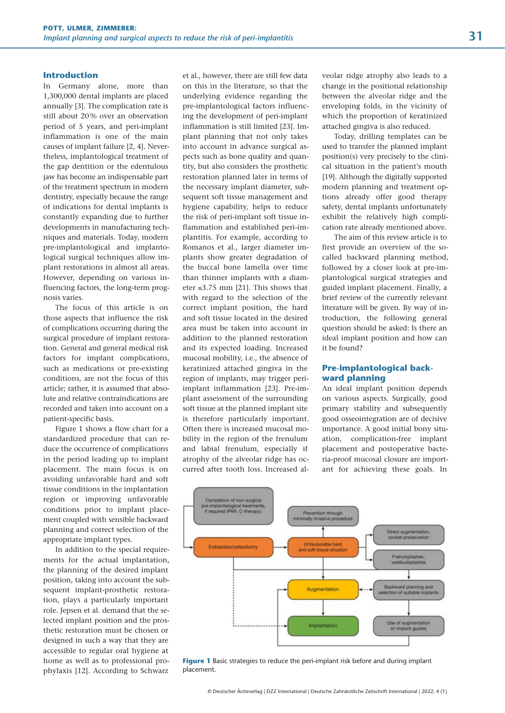#### **Introduction**

In Germany alone, more than 1,300,000 dental implants are placed annually [3]. The complication rate is still about 20 % over an observation period of 5 years, and peri-implant inflammation is one of the main causes of implant failure [2, 4]. Nevertheless, implantological treatment of the gap dentition or the edentulous jaw has become an indispensable part of the treatment spectrum in modern dentistry, especially because the range of indications for dental implants is constantly expanding due to further developments in manufacturing techniques and materials. Today, modern pre-implantological and implantological surgical techniques allow implant restorations in almost all areas. However, depending on various influencing factors, the long-term prognosis varies.

The focus of this article is on those aspects that influence the risk of complications occurring during the surgical procedure of implant restoration. General and general medical risk factors for implant complications, such as medications or pre-existing conditions, are not the focus of this article; rather, it is assumed that absolute and relative contraindications are recorded and taken into account on a patient-specific basis.

Figure 1 shows a flow chart for a standardized procedure that can reduce the occurrence of complications in the period leading up to implant placement. The main focus is on avoiding unfavorable hard and soft tissue conditions in the implantation region or improving unfavorable conditions prior to implant placement coupled with sensible backward planning and correct selection of the appropriate implant types.

In addition to the special requirements for the actual implantation, the planning of the desired implant position, taking into account the subsequent implant-prosthetic restoration, plays a particularly important role. Jepsen et al. demand that the selected implant position and the prosthetic restoration must be chosen or designed in such a way that they are accessible to regular oral hygiene at home as well as to professional prophylaxis [12]. According to Schwarz et al., however, there are still few data on this in the literature, so that the underlying evidence regarding the pre-implantological factors influencing the development of peri-implant inflammation is still limited [23]. Implant planning that not only takes into account in advance surgical aspects such as bone quality and quantity, but also considers the prosthetic restoration planned later in terms of the necessary implant diameter, subsequent soft tissue management and hygiene capability, helps to reduce the risk of peri-implant soft tissue inflammation and established peri-implantitis. For example, according to Romanos et al., larger diameter implants show greater degradation of the buccal bone lamella over time than thinner implants with a diameter ≤3.75 mm [21]. This shows that with regard to the selection of the correct implant position, the hard and soft tissue located in the desired area must be taken into account in addition to the planned restoration and its expected loading. Increased mucosal mobility, i.e., the absence of keratinized attached gingiva in the region of implants, may trigger periimplant inflammation [23]. Pre-implant assessment of the surrounding soft tissue at the planned implant site is therefore particularly important. Often there is increased mucosal mobility in the region of the frenulum and labial frenulum, especially if atrophy of the alveolar ridge has occurred after tooth loss. Increased alveolar ridge atrophy also leads to a change in the positional relationship between the alveolar ridge and the enveloping folds, in the vicinity of which the proportion of keratinized attached gingiva is also reduced.

Today, drilling templates can be used to transfer the planned implant position(s) very precisely to the clinical situation in the patient's mouth [19]. Although the digitally supported modern planning and treatment options already offer good therapy safety, dental implants unfortunately exhibit the relatively high complication rate already mentioned above.

The aim of this review article is to first provide an overview of the socalled backward planning method, followed by a closer look at pre-implantological surgical strategies and guided implant placement. Finally, a brief review of the currently relevant literature will be given. By way of introduction, the following general question should be asked: Is there an ideal implant position and how can it be found?

#### **Pre-implantological backward planning**

An ideal implant position depends on various aspects. Surgically, good primary stability and subsequently good osseointegration are of decisive importance. A good initial bony situation, complication-free implant placement and postoperative bacteria-proof mucosal closure are important for achieving these goals. In



**Figure 1** Basic strategies to reduce the peri-implant risk before and during implant placement.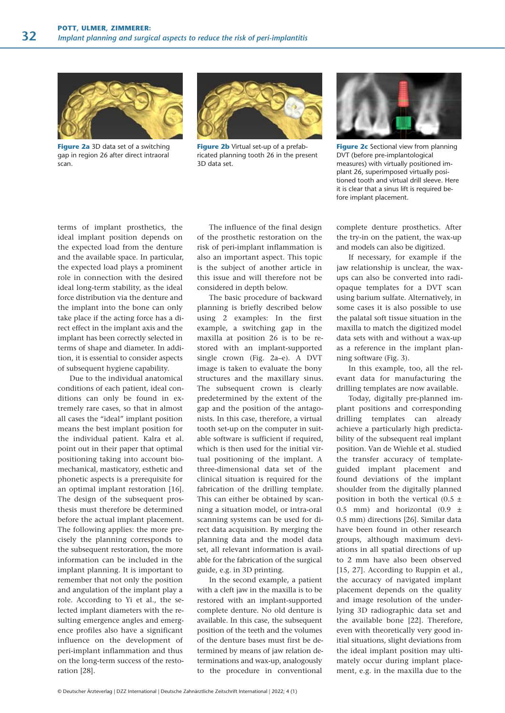

**Figure 2a** 3D data set of a switching gap in region 26 after direct intraoral scan.



**Figure 2b** Virtual set-up of a prefabricated planning tooth 26 in the present 3D data set.



**Figure 2c** Sectional view from planning DVT (before pre-implantological measures) with virtually positioned implant 26, superimposed virtually positioned tooth and virtual drill sleeve. Here it is clear that a sinus lift is required before implant placement.

terms of implant prosthetics, the ideal implant position depends on the expected load from the denture and the available space. In particular, the expected load plays a prominent role in connection with the desired ideal long-term stability, as the ideal force distribution via the denture and the implant into the bone can only take place if the acting force has a direct effect in the implant axis and the implant has been correctly selected in terms of shape and diameter. In addition, it is essential to consider aspects of subsequent hygiene capability.

Due to the individual anatomical conditions of each patient, ideal conditions can only be found in extremely rare cases, so that in almost all cases the "ideal" implant position means the best implant position for the individual patient. Kalra et al. point out in their paper that optimal positioning taking into account biomechanical, masticatory, esthetic and phonetic aspects is a prerequisite for an optimal implant restoration [16]. The design of the subsequent prosthesis must therefore be determined before the actual implant placement. The following applies: the more precisely the planning corresponds to the subsequent restoration, the more information can be included in the implant planning. It is important to remember that not only the position and angulation of the implant play a role. According to Yi et al., the selected implant diameters with the resulting emergence angles and emergence profiles also have a significant influence on the development of peri-implant inflammation and thus on the long-term success of the restoration [28].

The influence of the final design of the prosthetic restoration on the risk of peri-implant inflammation is also an important aspect. This topic is the subject of another article in this issue and will therefore not be considered in depth below.

The basic procedure of backward planning is briefly described below using 2 examples: In the first example, a switching gap in the maxilla at position 26 is to be restored with an implant-supported single crown (Fig. 2a–e). A DVT image is taken to evaluate the bony structures and the maxillary sinus. The subsequent crown is clearly predetermined by the extent of the gap and the position of the antagonists. In this case, therefore, a virtual tooth set-up on the computer in suitable software is sufficient if required, which is then used for the initial virtual positioning of the implant. A three-dimensional data set of the clinical situation is required for the fabrication of the drilling template. This can either be obtained by scanning a situation model, or intra-oral scanning systems can be used for direct data acquisition. By merging the planning data and the model data set, all relevant information is available for the fabrication of the surgical guide, e.g. in 3D printing.

In the second example, a patient with a cleft jaw in the maxilla is to be restored with an implant-supported complete denture. No old denture is available. In this case, the subsequent position of the teeth and the volumes of the denture bases must first be determined by means of jaw relation determinations and wax-up, analogously to the procedure in conventional

complete denture prosthetics. After the try-in on the patient, the wax-up and models can also be digitized.

If necessary, for example if the jaw relationship is unclear, the waxups can also be converted into radiopaque templates for a DVT scan using barium sulfate. Alternatively, in some cases it is also possible to use the palatal soft tissue situation in the maxilla to match the digitized model data sets with and without a wax-up as a reference in the implant planning software (Fig. 3).

In this example, too, all the relevant data for manufacturing the drilling templates are now available.

Today, digitally pre-planned implant positions and corresponding drilling templates can already achieve a particularly high predictability of the subsequent real implant position. Van de Wiehle et al. studied the transfer accuracy of templateguided implant placement and found deviations of the implant shoulder from the digitally planned position in both the vertical  $(0.5 \pm 1)$ 0.5 mm) and horizontal  $(0.9 \pm 1)$ 0.5 mm) directions [26]. Similar data have been found in other research groups, although maximum deviations in all spatial directions of up to 2 mm have also been observed [15, 27]. According to Ruppin et al., the accuracy of navigated implant placement depends on the quality and image resolution of the underlying 3D radiographic data set and the available bone [22]. Therefore, even with theoretically very good initial situations, slight deviations from the ideal implant position may ultimately occur during implant placement, e.g. in the maxilla due to the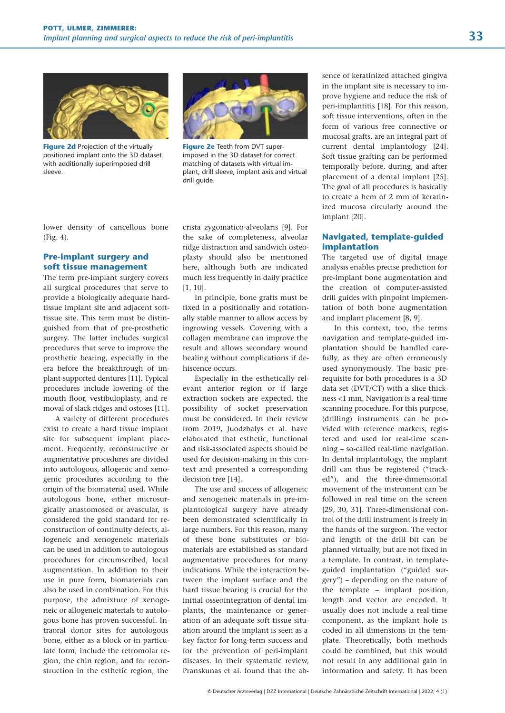

**Figure 2d** Projection of the virtually positioned implant onto the 3D dataset with additionally superimposed drill sleeve.



**Figure 2e** Teeth from DVT superimposed in the 3D dataset for correct matching of datasets with virtual implant, drill sleeve, implant axis and virtual drill guide.

lower density of cancellous bone (Fig. 4).

# **Pre-implant surgery and soft tissue management**

The term pre-implant surgery covers all surgical procedures that serve to provide a biologically adequate hardtissue implant site and adjacent softtissue site. This term must be distinguished from that of pre-prosthetic surgery. The latter includes surgical procedures that serve to improve the prosthetic bearing, especially in the era before the breakthrough of implant-supported dentures [11]. Typical procedures include lowering of the mouth floor, vestibuloplasty, and removal of slack ridges and ostoses [11].

A variety of different procedures exist to create a hard tissue implant site for subsequent implant placement. Frequently, reconstructive or augmentative procedures are divided into autologous, allogenic and xenogenic procedures according to the origin of the biomaterial used. While autologous bone, either microsurgically anastomosed or avascular, is considered the gold standard for reconstruction of continuity defects, allogeneic and xenogeneic materials can be used in addition to autologous procedures for circumscribed, local augmentation. In addition to their use in pure form, biomaterials can also be used in combination. For this purpose, the admixture of xenogeneic or allogeneic materials to autologous bone has proven successful. Intraoral donor sites for autologous bone, either as a block or in particulate form, include the retromolar region, the chin region, and for reconstruction in the esthetic region, the

crista zygomatico-alveolaris [9]. For the sake of completeness, alveolar ridge distraction and sandwich osteoplasty should also be mentioned here, although both are indicated much less frequently in daily practice [1, 10].

In principle, bone grafts must be fixed in a positionally and rotationally stable manner to allow access by ingrowing vessels. Covering with a collagen membrane can improve the result and allows secondary wound healing without complications if dehiscence occurs.

Especially in the esthetically relevant anterior region or if large extraction sockets are expected, the possibility of socket preservation must be considered. In their review from 2019, Juodzbalys et al. have elaborated that esthetic, functional and risk-associated aspects should be used for decision-making in this context and presented a corresponding decision tree [14].

The use and success of allogeneic and xenogeneic materials in pre-implantological surgery have already been demonstrated scientifically in large numbers. For this reason, many of these bone substitutes or biomaterials are established as standard augmentative procedures for many indications. While the interaction between the implant surface and the hard tissue bearing is crucial for the initial osseointegration of dental implants, the maintenance or generation of an adequate soft tissue situation around the implant is seen as a key factor for long-term success and for the prevention of peri-implant diseases. In their systematic review, Pranskunas et al. found that the ab-

sence of keratinized attached gingiva in the implant site is necessary to improve hygiene and reduce the risk of peri-implantitis [18]. For this reason, soft tissue interventions, often in the form of various free connective or mucosal grafts, are an integral part of current dental implantology [24]. Soft tissue grafting can be performed temporally before, during, and after placement of a dental implant [25]. The goal of all procedures is basically to create a hem of 2 mm of keratinized mucosa circularly around the implant [20].

#### **Navigated, template-guided implantation**

The targeted use of digital image analysis enables precise prediction for pre-implant bone augmentation and the creation of computer-assisted drill guides with pinpoint implementation of both bone augmentation and implant placement [8, 9].

In this context, too, the terms navigation and template-guided implantation should be handled carefully, as they are often erroneously used synonymously. The basic prerequisite for both procedures is a 3D data set (DVT/CT) with a slice thickness <1 mm. Navigation is a real-time scanning procedure. For this purpose, (drilling) instruments can be provided with reference markers, registered and used for real-time scanning – so-called real-time navigation. In dental implantology, the implant drill can thus be registered ("tracked"), and the three-dimensional movement of the instrument can be followed in real time on the screen [29, 30, 31]. Three-dimensional control of the drill instrument is freely in the hands of the surgeon. The vector and length of the drill bit can be planned virtually, but are not fixed in a template. In contrast, in templateguided implantation ("guided surgery") – depending on the nature of the template – implant position, length and vector are encoded. It usually does not include a real-time component, as the implant hole is coded in all dimensions in the template. Theoretically, both methods could be combined, but this would not result in any additional gain in information and safety. It has been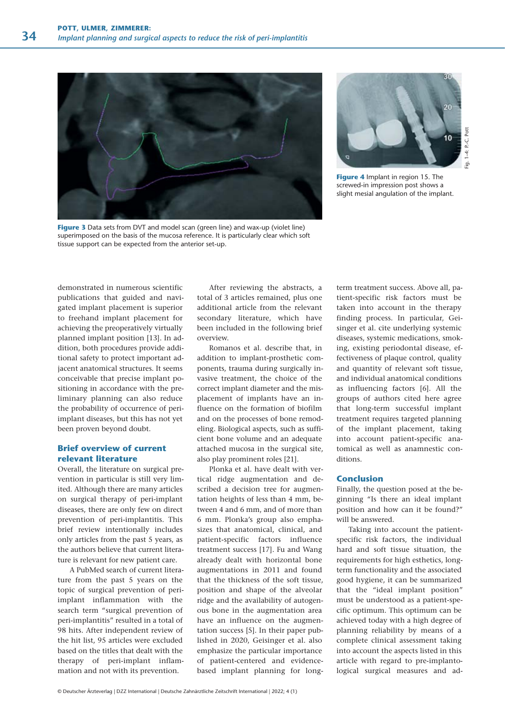



Fig. 1–4: P.-C. Pott $1-4$ : P.-C. Pott

**Figure 4** Implant in region 15. The screwed-in impression post shows a slight mesial angulation of the implant.

**Figure 3** Data sets from DVT and model scan (green line) and wax-up (violet line) superimposed on the basis of the mucosa reference. It is particularly clear which soft tissue support can be expected from the anterior set-up.

demonstrated in numerous scientific publications that guided and navigated implant placement is superior to freehand implant placement for achieving the preoperatively virtually planned implant position [13]. In addition, both procedures provide additional safety to protect important adjacent anatomical structures. It seems conceivable that precise implant positioning in accordance with the preliminary planning can also reduce the probability of occurrence of periimplant diseases, but this has not yet been proven beyond doubt.

### **Brief overview of current relevant literature**

Overall, the literature on surgical prevention in particular is still very limited. Although there are many articles on surgical therapy of peri-implant diseases, there are only few on direct prevention of peri-implantitis. This brief review intentionally includes only articles from the past 5 years, as the authors believe that current literature is relevant for new patient care.

A PubMed search of current literature from the past 5 years on the topic of surgical prevention of periimplant inflammation with the search term "surgical prevention of peri-implantitis" resulted in a total of 98 hits. After independent review of the hit list, 95 articles were excluded based on the titles that dealt with the therapy of peri-implant inflammation and not with its prevention.

After reviewing the abstracts, a total of 3 articles remained, plus one additional article from the relevant secondary literature, which have been included in the following brief overview.

Romanos et al. describe that, in addition to implant-prosthetic components, trauma during surgically invasive treatment, the choice of the correct implant diameter and the misplacement of implants have an influence on the formation of biofilm and on the processes of bone remodeling. Biological aspects, such as sufficient bone volume and an adequate attached mucosa in the surgical site, also play prominent roles [21].

Plonka et al. have dealt with vertical ridge augmentation and described a decision tree for augmentation heights of less than 4 mm, between 4 and 6 mm, and of more than 6 mm. Plonka's group also emphasizes that anatomical, clinical, and patient-specific factors influence treatment success [17]. Fu and Wang already dealt with horizontal bone augmentations in 2011 and found that the thickness of the soft tissue, position and shape of the alveolar ridge and the availability of autogenous bone in the augmentation area have an influence on the augmentation success [5]. In their paper published in 2020, Geisinger et al. also emphasize the particular importance of patient-centered and evidencebased implant planning for longterm treatment success. Above all, patient-specific risk factors must be taken into account in the therapy finding process. In particular, Geisinger et al. cite underlying systemic diseases, systemic medications, smoking, existing periodontal disease, effectiveness of plaque control, quality and quantity of relevant soft tissue, and individual anatomical conditions as influencing factors [6]. All the groups of authors cited here agree that long-term successful implant treatment requires targeted planning of the implant placement, taking into account patient-specific anatomical as well as anamnestic conditions.

#### **Conclusion**

Finally, the question posed at the beginning "Is there an ideal implant position and how can it be found?" will be answered.

Taking into account the patientspecific risk factors, the individual hard and soft tissue situation, the requirements for high esthetics, longterm functionality and the associated good hygiene, it can be summarized that the "ideal implant position" must be understood as a patient-specific optimum. This optimum can be achieved today with a high degree of planning reliability by means of a complete clinical assessment taking into account the aspects listed in this article with regard to pre-implantological surgical measures and ad-